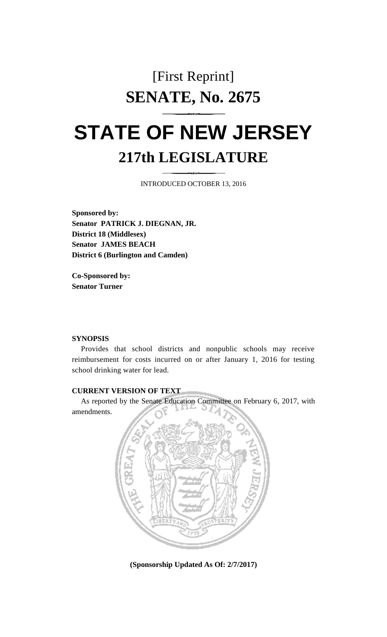## [First Reprint] **SENATE, No. 2675**

# **STATE OF NEW JERSEY 217th LEGISLATURE**

INTRODUCED OCTOBER 13, 2016

**Sponsored by: Senator PATRICK J. DIEGNAN, JR. District 18 (Middlesex) Senator JAMES BEACH District 6 (Burlington and Camden)**

**Co-Sponsored by: Senator Turner**

#### **SYNOPSIS**

Provides that school districts and nonpublic schools may receive reimbursement for costs incurred on or after January 1, 2016 for testing school drinking water for lead.

#### **CURRENT VERSION OF TEXT**

As reported by the Senate Education Committee on February 6, 2017, with amendments.



**(Sponsorship Updated As Of: 2/7/2017)**